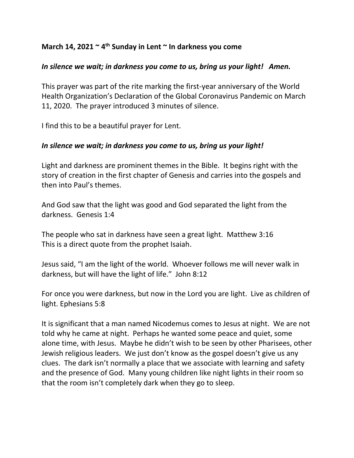## **March 14, 2021 ~ 4th Sunday in Lent ~ In darkness you come**

## *In silence we wait; in darkness you come to us, bring us your light! Amen.*

This prayer was part of the rite marking the first-year anniversary of the World Health Organization's Declaration of the Global Coronavirus Pandemic on March 11, 2020. The prayer introduced 3 minutes of silence.

I find this to be a beautiful prayer for Lent.

## *In silence we wait; in darkness you come to us, bring us your light!*

Light and darkness are prominent themes in the Bible. It begins right with the story of creation in the first chapter of Genesis and carries into the gospels and then into Paul's themes.

And God saw that the light was good and God separated the light from the darkness. Genesis 1:4

The people who sat in darkness have seen a great light. Matthew 3:16 This is a direct quote from the prophet Isaiah.

Jesus said, "I am the light of the world. Whoever follows me will never walk in darkness, but will have the light of life." John 8:12

For once you were darkness, but now in the Lord you are light. Live as children of light. Ephesians 5:8

It is significant that a man named Nicodemus comes to Jesus at night. We are not told why he came at night. Perhaps he wanted some peace and quiet, some alone time, with Jesus. Maybe he didn't wish to be seen by other Pharisees, other Jewish religious leaders. We just don't know as the gospel doesn't give us any clues. The dark isn't normally a place that we associate with learning and safety and the presence of God. Many young children like night lights in their room so that the room isn't completely dark when they go to sleep.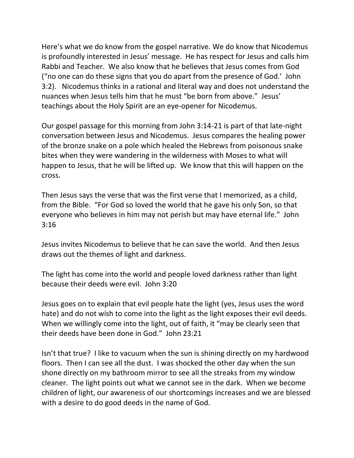Here's what we do know from the gospel narrative. We do know that Nicodemus is profoundly interested in Jesus' message. He has respect for Jesus and calls him Rabbi and Teacher. We also know that he believes that Jesus comes from God ("no one can do these signs that you do apart from the presence of God.' John 3:2). Nicodemus thinks in a rational and literal way and does not understand the nuances when Jesus tells him that he must "be born from above." Jesus' teachings about the Holy Spirit are an eye-opener for Nicodemus.

Our gospel passage for this morning from John 3:14-21 is part of that late-night conversation between Jesus and Nicodemus. Jesus compares the healing power of the bronze snake on a pole which healed the Hebrews from poisonous snake bites when they were wandering in the wilderness with Moses to what will happen to Jesus, that he will be lifted up. We know that this will happen on the cross.

Then Jesus says the verse that was the first verse that I memorized, as a child, from the Bible. "For God so loved the world that he gave his only Son, so that everyone who believes in him may not perish but may have eternal life." John 3:16

Jesus invites Nicodemus to believe that he can save the world. And then Jesus draws out the themes of light and darkness.

The light has come into the world and people loved darkness rather than light because their deeds were evil. John 3:20

Jesus goes on to explain that evil people hate the light (yes, Jesus uses the word hate) and do not wish to come into the light as the light exposes their evil deeds. When we willingly come into the light, out of faith, it "may be clearly seen that their deeds have been done in God." John 23:21

Isn't that true? I like to vacuum when the sun is shining directly on my hardwood floors. Then I can see all the dust. I was shocked the other day when the sun shone directly on my bathroom mirror to see all the streaks from my window cleaner. The light points out what we cannot see in the dark. When we become children of light, our awareness of our shortcomings increases and we are blessed with a desire to do good deeds in the name of God.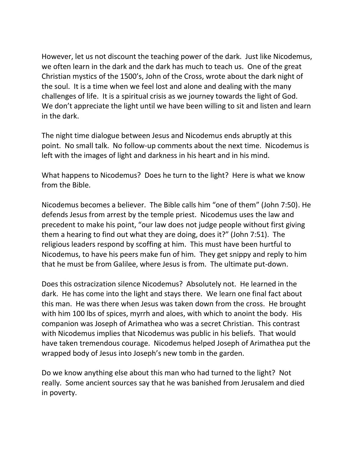However, let us not discount the teaching power of the dark. Just like Nicodemus, we often learn in the dark and the dark has much to teach us. One of the great Christian mystics of the 1500's, John of the Cross, wrote about the dark night of the soul. It is a time when we feel lost and alone and dealing with the many challenges of life. It is a spiritual crisis as we journey towards the light of God. We don't appreciate the light until we have been willing to sit and listen and learn in the dark.

The night time dialogue between Jesus and Nicodemus ends abruptly at this point. No small talk. No follow-up comments about the next time. Nicodemus is left with the images of light and darkness in his heart and in his mind.

What happens to Nicodemus? Does he turn to the light? Here is what we know from the Bible.

Nicodemus becomes a believer. The Bible calls him "one of them" (John 7:50). He defends Jesus from arrest by the temple priest. Nicodemus uses the law and precedent to make his point, "our law does not judge people without first giving them a hearing to find out what they are doing, does it?" (John 7:51). The religious leaders respond by scoffing at him. This must have been hurtful to Nicodemus, to have his peers make fun of him. They get snippy and reply to him that he must be from Galilee, where Jesus is from. The ultimate put-down.

Does this ostracization silence Nicodemus? Absolutely not. He learned in the dark. He has come into the light and stays there. We learn one final fact about this man. He was there when Jesus was taken down from the cross. He brought with him 100 lbs of spices, myrrh and aloes, with which to anoint the body. His companion was Joseph of Arimathea who was a secret Christian. This contrast with Nicodemus implies that Nicodemus was public in his beliefs. That would have taken tremendous courage. Nicodemus helped Joseph of Arimathea put the wrapped body of Jesus into Joseph's new tomb in the garden.

Do we know anything else about this man who had turned to the light? Not really. Some ancient sources say that he was banished from Jerusalem and died in poverty.